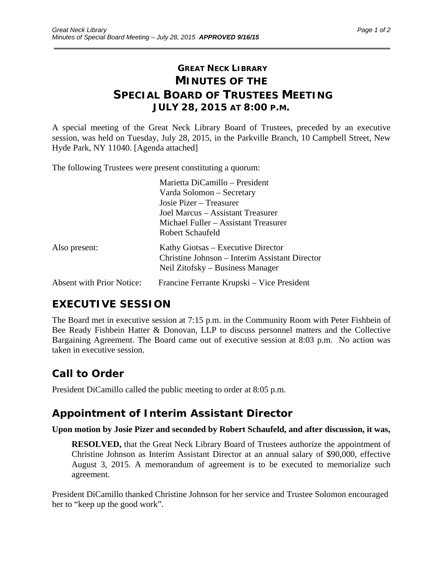## **GREAT NECK LIBRARY MINUTES OF THE SPECIAL BOARD OF TRUSTEES MEETING JULY 28, 2015 AT 8:00 P.M.**

\_\_\_\_\_\_\_\_\_\_\_\_\_\_\_\_\_\_\_\_\_\_\_\_\_\_\_\_\_\_\_\_\_\_\_\_\_\_\_\_\_\_\_\_\_\_\_\_\_\_\_\_\_\_\_\_\_\_\_\_\_\_\_\_\_\_\_\_\_\_\_\_\_\_\_\_\_\_\_\_\_\_\_\_\_\_\_\_\_\_\_\_\_

A special meeting of the Great Neck Library Board of Trustees, preceded by an executive session, was held on Tuesday, July 28, 2015, in the Parkville Branch, 10 Campbell Street, New Hyde Park, NY 11040. [Agenda attached]

The following Trustees were present constituting a quorum:

|                                  | Marietta DiCamillo – President                                                                                           |
|----------------------------------|--------------------------------------------------------------------------------------------------------------------------|
|                                  | Varda Solomon – Secretary                                                                                                |
|                                  | Josie Pizer – Treasurer                                                                                                  |
|                                  | Joel Marcus – Assistant Treasurer                                                                                        |
|                                  | Michael Fuller – Assistant Treasurer                                                                                     |
|                                  | Robert Schaufeld                                                                                                         |
| Also present:                    | Kathy Giotsas – Executive Director<br>Christine Johnson – Interim Assistant Director<br>Neil Zitofsky – Business Manager |
| <b>Absent with Prior Notice:</b> | Francine Ferrante Krupski – Vice President                                                                               |

## **EXECUTIVE SESSION**

The Board met in executive session at 7:15 p.m. in the Community Room with Peter Fishbein of Bee Ready Fishbein Hatter & Donovan, LLP to discuss personnel matters and the Collective Bargaining Agreement. The Board came out of executive session at 8:03 p.m. No action was taken in executive session.

# **Call to Order**

President DiCamillo called the public meeting to order at 8:05 p.m.

## **Appointment of Interim Assistant Director**

#### **Upon motion by Josie Pizer and seconded by Robert Schaufeld, and after discussion, it was,**

**RESOLVED,** that the Great Neck Library Board of Trustees authorize the appointment of Christine Johnson as Interim Assistant Director at an annual salary of \$90,000, effective August 3, 2015. A memorandum of agreement is to be executed to memorialize such agreement.

President DiCamillo thanked Christine Johnson for her service and Trustee Solomon encouraged her to "keep up the good work".